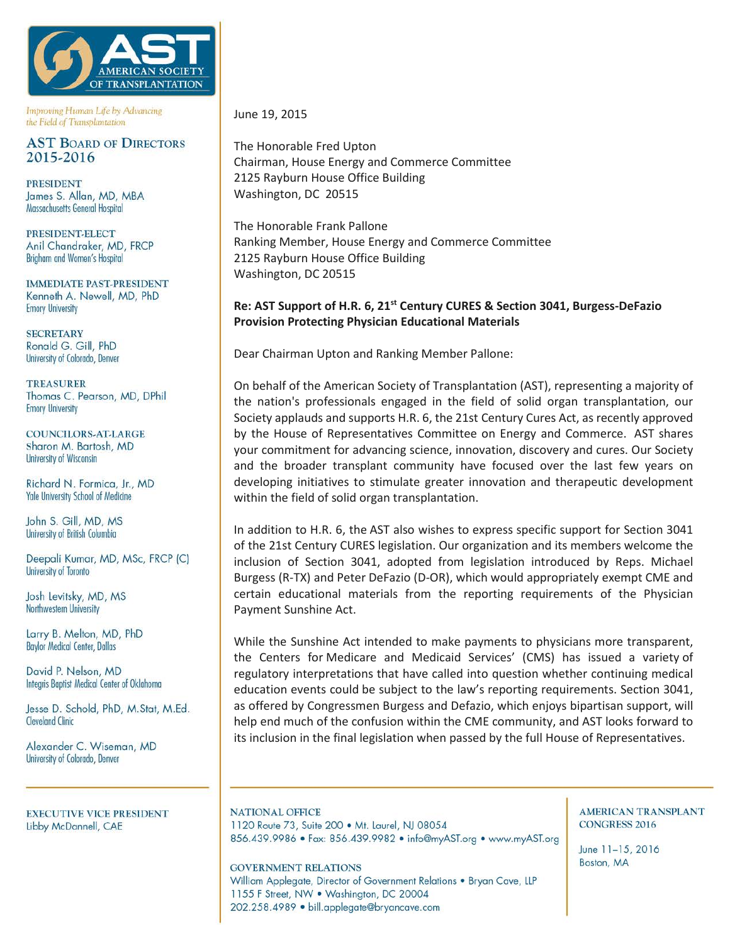

Improving Human Life by Advancing the Field of Transplantation

**AST BOARD OF DIRECTORS** 2015-2016

**PRESIDENT** James S. Allan, MD, MBA **Massachusetts General Hospital** 

PRESIDENT-ELECT Anil Chandraker, MD, FRCP Brigham and Women's Hospital

**IMMEDIATE PAST-PRESIDENT** Kenneth A. Newell, MD, PhD **Emory University** 

**SECRETARY** Ronald G. Gill, PhD University of Colorado, Denver

**TREASURER** Thomas C. Pearson, MD, DPhil **Emory University** 

COUNCILORS-AT-LARGE Sharon M. Bartosh, MD **University of Wisconsin** 

Richard N. Formica, Jr., MD Yale University School of Medicine

John S. Gill, MD, MS University of British Columbia

Deepali Kumar, MD, MSc, FRCP (C) University of Toronto

Josh Levitsky, MD, MS Northwestern University

Larry B. Melton, MD, PhD **Baylor Medical Center, Dallas** 

David P. Nelson, MD Integris Baptist Medical Center of Oklahoma

Jesse D. Schold, PhD, M. Stat, M.Ed. **Cleveland Clinic** 

Alexander C. Wiseman, MD University of Colorado, Denver

**EXECUTIVE VICE PRESIDENT** Libby McDannell, CAE

June 19, 2015

The Honorable Fred Upton Chairman, House Energy and Commerce Committee 2125 Rayburn House Office Building Washington, DC 20515

The Honorable Frank Pallone Ranking Member, House Energy and Commerce Committee 2125 Rayburn House Office Building Washington, DC 20515

## **Re: AST Support of H.R. 6, 21st Century CURES & Section 3041, Burgess-DeFazio Provision Protecting Physician Educational Materials**

Dear Chairman Upton and Ranking Member Pallone:

On behalf of the American Society of Transplantation (AST), representing a majority of the nation's professionals engaged in the field of solid organ transplantation, our Society applauds and supports H.R. 6, the 21st Century Cures Act, as recently approved by the House of Representatives Committee on Energy and Commerce. AST shares your commitment for advancing science, innovation, discovery and cures. Our Society and the broader transplant community have focused over the last few years on developing initiatives to stimulate greater innovation and therapeutic development within the field of solid organ transplantation.

In addition to H.R. 6, the AST also wishes to express specific support for Section 3041 of the 21st Century CURES legislation. Our organization and its members welcome the inclusion of Section 3041, adopted from legislation introduced by Reps. Michael Burgess (R-TX) and Peter DeFazio (D-OR), which would appropriately exempt CME and certain educational materials from the reporting requirements of the Physician Payment Sunshine Act.

While the Sunshine Act intended to make payments to physicians more transparent, the Centers for Medicare and Medicaid Services' (CMS) has issued a variety of regulatory interpretations that have called into question whether continuing medical education events could be subject to the law's reporting requirements. Section 3041, as offered by Congressmen Burgess and Defazio, which enjoys bipartisan support, will help end much of the confusion within the CME community, and AST looks forward to its inclusion in the final legislation when passed by the full House of Representatives.

**NATIONAL OFFICE** 1120 Route 73, Suite 200 · Mt. Laurel, NJ 08054 856.439.9986 · Fax: 856.439.9982 · info@myAST.org · www.myAST.org

**GOVERNMENT RELATIONS** William Applegate, Director of Government Relations . Bryan Cave, LLP 1155 F Street, NW . Washington, DC 20004 202.258.4989 · bill.applegate@bryancave.com

## **AMERICAN TRANSPLANT CONGRESS 2016**

June 11-15, 2016 Boston, MA